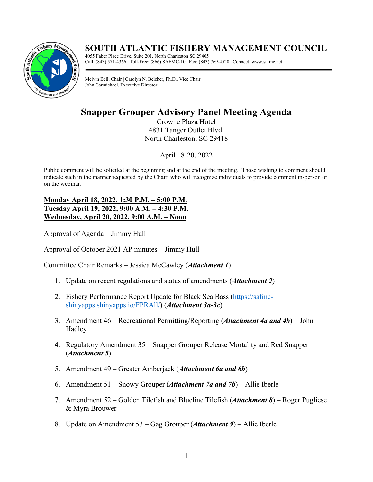# **SOUTH ATLANTIC FISHERY MANAGEMENT COUNCIL**



4055 Faber Place Drive, Suite 201, North Charleston SC 29405 Call: (843) 571-4366 **|** Toll-Free: (866) SAFMC-10 **|** Fax: (843) 769-4520 **|** Connect: www.safmc.net

Melvin Bell, Chair **|** Carolyn N. Belcher, Ph.D., Vice Chair John Carmichael, Executive Director

# **Snapper Grouper Advisory Panel Meeting Agenda**

Crowne Plaza Hotel 4831 Tanger Outlet Blvd. North Charleston, SC 29418

April 18-20, 2022

Public comment will be solicited at the beginning and at the end of the meeting. Those wishing to comment should indicate such in the manner requested by the Chair, who will recognize individuals to provide comment in-person or on the webinar.

## **Monday April 18, 2022, 1:30 P.M. – 5:00 P.M. Tuesday April 19, 2022, 9:00 A.M. – 4:30 P.M. Wednesday, April 20, 2022, 9:00 A.M. – Noon**

Approval of Agenda – Jimmy Hull

Approval of October 2021 AP minutes – Jimmy Hull

Committee Chair Remarks – Jessica McCawley (*Attachment 1*)

- 1. Update on recent regulations and status of amendments (*Attachment 2*)
- 2. Fishery Performance Report Update for Black Sea Bass [\(https://safmc](https://safmc-shinyapps.shinyapps.io/FPRAll/)[shinyapps.shinyapps.io/FPRAll/\)](https://safmc-shinyapps.shinyapps.io/FPRAll/) (*Attachment 3a-3c*)
- 3. Amendment 46 Recreational Permitting/Reporting (*Attachment 4a and 4b*) John Hadley
- 4. Regulatory Amendment 35 Snapper Grouper Release Mortality and Red Snapper (*Attachment 5*)
- 5. Amendment 49 Greater Amberjack (*Attachment 6a and 6b*)
- 6. Amendment 51 Snowy Grouper (*Attachment 7a and 7b*) Allie Iberle
- 7. Amendment 52 Golden Tilefish and Blueline Tilefish (*Attachment 8*) Roger Pugliese & Myra Brouwer
- 8. Update on Amendment 53 Gag Grouper (*Attachment 9*) Allie Iberle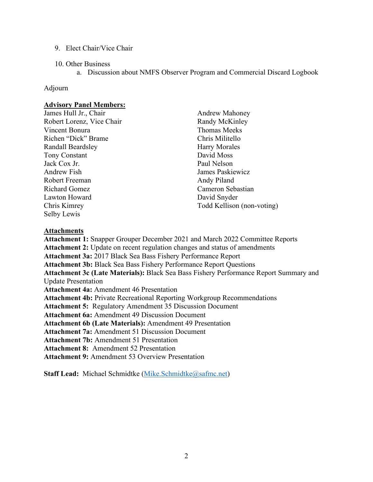- 9. Elect Chair/Vice Chair
- 10. Other Business
	- a. Discussion about NMFS Observer Program and Commercial Discard Logbook

### Adjourn

## **Advisory Panel Members:**

James Hull Jr., Chair Robert Lorenz, Vice Chair Vincent Bonura Richen "Dick" Brame Randall Beardsley Tony Constant Jack Cox Jr. Andrew Fish Robert Freeman Richard Gomez Lawton Howard Chris Kimrey Selby Lewis

Andrew Mahoney Randy McKinley Thomas Meeks Chris Militello Harry Morales David Moss Paul Nelson James Paskiewicz Andy Piland Cameron Sebastian David Snyder Todd Kellison (non-voting)

## **Attachments**

**Attachment 1:** Snapper Grouper December 2021 and March 2022 Committee Reports **Attachment 2:** Update on recent regulation changes and status of amendments **Attachment 3a:** 2017 Black Sea Bass Fishery Performance Report **Attachment 3b:** Black Sea Bass Fishery Performance Report Questions **Attachment 3c (Late Materials):** Black Sea Bass Fishery Performance Report Summary and Update Presentation **Attachment 4a:** Amendment 46 Presentation **Attachment 4b:** Private Recreational Reporting Workgroup Recommendations **Attachment 5:** Regulatory Amendment 35 Discussion Document **Attachment 6a:** Amendment 49 Discussion Document **Attachment 6b (Late Materials):** Amendment 49 Presentation **Attachment 7a:** Amendment 51 Discussion Document **Attachment 7b:** Amendment 51 Presentation **Attachment 8:** Amendment 52 Presentation **Attachment 9:** Amendment 53 Overview Presentation

**Staff Lead:** Michael Schmidtke [\(Mike.Schmidtke@safmc.net\)](mailto:Mike.Schmidtke@safmc.net)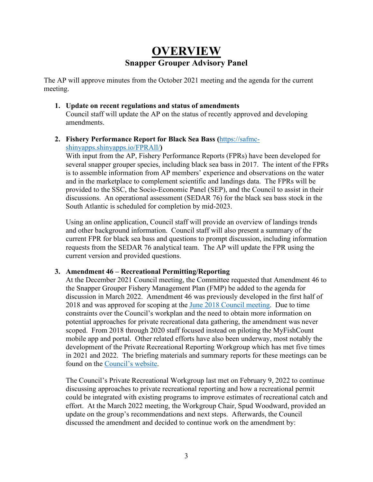# **OVERVIEW Snapper Grouper Advisory Panel**

The AP will approve minutes from the October 2021 meeting and the agenda for the current meeting.

### **1. Update on recent regulations and status of amendments** Council staff will update the AP on the status of recently approved and developing amendments.

# **2. Fishery Performance Report for Black Sea Bass (**[https://safmc-](https://safmc-shinyapps.shinyapps.io/FPRAll/)

# [shinyapps.shinyapps.io/FPRAll/](https://safmc-shinyapps.shinyapps.io/FPRAll/)**)**

With input from the AP, Fishery Performance Reports (FPRs) have been developed for several snapper grouper species, including black sea bass in 2017. The intent of the FPRs is to assemble information from AP members' experience and observations on the water and in the marketplace to complement scientific and landings data. The FPRs will be provided to the SSC, the Socio-Economic Panel (SEP), and the Council to assist in their discussions. An operational assessment (SEDAR 76) for the black sea bass stock in the South Atlantic is scheduled for completion by mid-2023.

Using an online application, Council staff will provide an overview of landings trends and other background information. Council staff will also present a summary of the current FPR for black sea bass and questions to prompt discussion, including information requests from the SEDAR 76 analytical team. The AP will update the FPR using the current version and provided questions.

# **3. Amendment 46 – Recreational Permitting/Reporting**

At the December 2021 Council meeting, the Committee requested that Amendment 46 to the Snapper Grouper Fishery Management Plan (FMP) be added to the agenda for discussion in March 2022. Amendment 46 was previously developed in the first half of 2018 and was approved for scoping at the [June 2018 Council meeting.](https://safmc.net/download/Briefing%20Book%20Council%20Mtg%20June%202018/Tab%2008%20-%20Snapper%20Grouper%20Committee/TAB08_A06_Amendment46_Options_Paper_v2.pdf) Due to time constraints over the Council's workplan and the need to obtain more information on potential approaches for private recreational data gathering, the amendment was never scoped. From 2018 through 2020 staff focused instead on piloting the MyFishCount mobile app and portal. Other related efforts have also been underway, most notably the development of the Private Recreational Reporting Workgroup which has met five times in 2021 and 2022. The briefing materials and summary reports for these meetings can be found on the [Council's website.](https://safmc.net/recreational-reporting-workgroup/)

The Council's Private Recreational Workgroup last met on February 9, 2022 to continue discussing approaches to private recreational reporting and how a recreational permit could be integrated with existing programs to improve estimates of recreational catch and effort. At the March 2022 meeting, the Workgroup Chair, Spud Woodward, provided an update on the group's recommendations and next steps. Afterwards, the Council discussed the amendment and decided to continue work on the amendment by: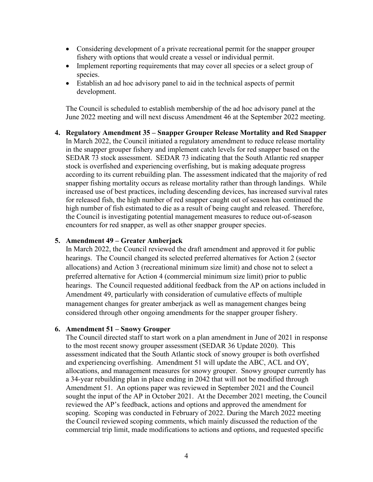- Considering development of a private recreational permit for the snapper grouper fishery with options that would create a vessel or individual permit.
- Implement reporting requirements that may cover all species or a select group of species.
- Establish an ad hoc advisory panel to aid in the technical aspects of permit development.

The Council is scheduled to establish membership of the ad hoc advisory panel at the June 2022 meeting and will next discuss Amendment 46 at the September 2022 meeting.

**4. Regulatory Amendment 35 – Snapper Grouper Release Mortality and Red Snapper** In March 2022, the Council initiated a regulatory amendment to reduce release mortality in the snapper grouper fishery and implement catch levels for red snapper based on the SEDAR 73 stock assessment. SEDAR 73 indicating that the South Atlantic red snapper stock is overfished and experiencing overfishing, but is making adequate progress according to its current rebuilding plan. The assessment indicated that the majority of red snapper fishing mortality occurs as release mortality rather than through landings. While increased use of best practices, including descending devices, has increased survival rates for released fish, the high number of red snapper caught out of season has continued the high number of fish estimated to die as a result of being caught and released. Therefore, the Council is investigating potential management measures to reduce out-of-season encounters for red snapper, as well as other snapper grouper species.

### **5. Amendment 49 – Greater Amberjack**

In March 2022, the Council reviewed the draft amendment and approved it for public hearings. The Council changed its selected preferred alternatives for Action 2 (sector allocations) and Action 3 (recreational minimum size limit) and chose not to select a preferred alternative for Action 4 (commercial minimum size limit) prior to public hearings. The Council requested additional feedback from the AP on actions included in Amendment 49, particularly with consideration of cumulative effects of multiple management changes for greater amberjack as well as management changes being considered through other ongoing amendments for the snapper grouper fishery.

### **6. Amendment 51 – Snowy Grouper**

The Council directed staff to start work on a plan amendment in June of 2021 in response to the most recent snowy grouper assessment (SEDAR 36 Update 2020). This assessment indicated that the South Atlantic stock of snowy grouper is both overfished and experiencing overfishing. Amendment 51 will update the ABC, ACL and OY, allocations, and management measures for snowy grouper. Snowy grouper currently has a 34-year rebuilding plan in place ending in 2042 that will not be modified through Amendment 51. An options paper was reviewed in September 2021 and the Council sought the input of the AP in October 2021. At the December 2021 meeting, the Council reviewed the AP's feedback, actions and options and approved the amendment for scoping. Scoping was conducted in February of 2022. During the March 2022 meeting the Council reviewed scoping comments, which mainly discussed the reduction of the commercial trip limit, made modifications to actions and options, and requested specific